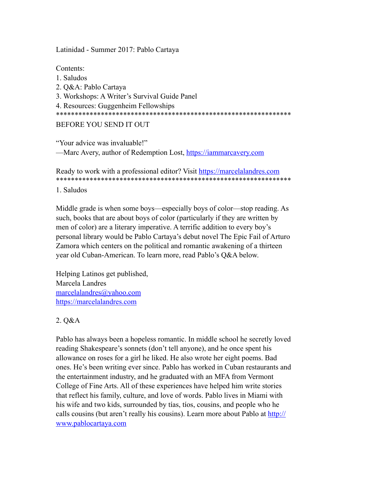Latinidad - Summer 2017: Pablo Cartaya

Contents:

1. Saludos 2. Q&A: Pablo Cartaya 3. Workshops: A Writer's Survival Guide Panel 4. Resources: Guggenheim Fellowships \*\*\*\*\*\*\*\*\*\*\*\*\*\*\*\*\*\*\*\*\*\*\*\*\*\*\*\*\*\*\*\*\*\*\*\*\*\*\*\*\*\*\*\*\*\*\*\*\*\*\*\*\*\*\*\*\*\*\*\*\*\*\* BEFORE YOU SEND IT OUT

"Your advice was invaluable!" —Marc Avery, author of Redemption Lost, <https://iammarcavery.com>

# Ready to work with a professional editor? Visit <https://marcelalandres.com> \*\*\*\*\*\*\*\*\*\*\*\*\*\*\*\*\*\*\*\*\*\*\*\*\*\*\*\*\*\*\*\*\*\*\*\*\*\*\*\*\*\*\*\*\*\*\*\*\*\*\*\*\*\*\*\*\*\*\*\*\*\*\*

1. Saludos

Middle grade is when some boys—especially boys of color—stop reading. As such, books that are about boys of color (particularly if they are written by men of color) are a literary imperative. A terrific addition to every boy's personal library would be Pablo Cartaya's debut novel The Epic Fail of Arturo Zamora which centers on the political and romantic awakening of a thirteen year old Cuban-American. To learn more, read Pablo's Q&A below.

Helping Latinos get published, Marcela Landres [marcelalandres@yahoo.com](mailto:marcelalandres@yahoo.com)  <https://marcelalandres.com>

## 2. Q&A

Pablo has always been a hopeless romantic. In middle school he secretly loved reading Shakespeare's sonnets (don't tell anyone), and he once spent his allowance on roses for a girl he liked. He also wrote her eight poems. Bad ones. He's been writing ever since. Pablo has worked in Cuban restaurants and the entertainment industry, and he graduated with an MFA from Vermont College of Fine Arts. All of these experiences have helped him write stories that reflect his family, culture, and love of words. Pablo lives in Miami with his wife and two kids, surrounded by tías, tíos, cousins, and people who he calls cousins (but aren't really his cousins). Learn more about Pablo at [http://](http://www.pablocartaya.com) [www.pablocartaya.com](http://www.pablocartaya.com)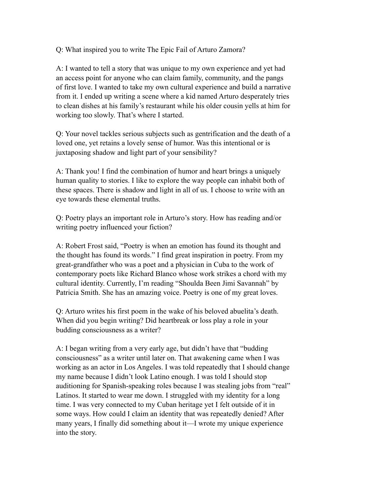Q: What inspired you to write The Epic Fail of Arturo Zamora?

A: I wanted to tell a story that was unique to my own experience and yet had an access point for anyone who can claim family, community, and the pangs of first love. I wanted to take my own cultural experience and build a narrative from it. I ended up writing a scene where a kid named Arturo desperately tries to clean dishes at his family's restaurant while his older cousin yells at him for working too slowly. That's where I started.

Q: Your novel tackles serious subjects such as gentrification and the death of a loved one, yet retains a lovely sense of humor. Was this intentional or is juxtaposing shadow and light part of your sensibility?

A: Thank you! I find the combination of humor and heart brings a uniquely human quality to stories. I like to explore the way people can inhabit both of these spaces. There is shadow and light in all of us. I choose to write with an eye towards these elemental truths.

Q: Poetry plays an important role in Arturo's story. How has reading and/or writing poetry influenced your fiction?

A: Robert Frost said, "Poetry is when an emotion has found its thought and the thought has found its words." I find great inspiration in poetry. From my great-grandfather who was a poet and a physician in Cuba to the work of contemporary poets like Richard Blanco whose work strikes a chord with my cultural identity. Currently, I'm reading "Shoulda Been Jimi Savannah" by Patricia Smith. She has an amazing voice. Poetry is one of my great loves.

Q: Arturo writes his first poem in the wake of his beloved abuelita's death. When did you begin writing? Did heartbreak or loss play a role in your budding consciousness as a writer?

A: I began writing from a very early age, but didn't have that "budding consciousness" as a writer until later on. That awakening came when I was working as an actor in Los Angeles. I was told repeatedly that I should change my name because I didn't look Latino enough. I was told I should stop auditioning for Spanish-speaking roles because I was stealing jobs from "real" Latinos. It started to wear me down. I struggled with my identity for a long time. I was very connected to my Cuban heritage yet I felt outside of it in some ways. How could I claim an identity that was repeatedly denied? After many years, I finally did something about it—I wrote my unique experience into the story.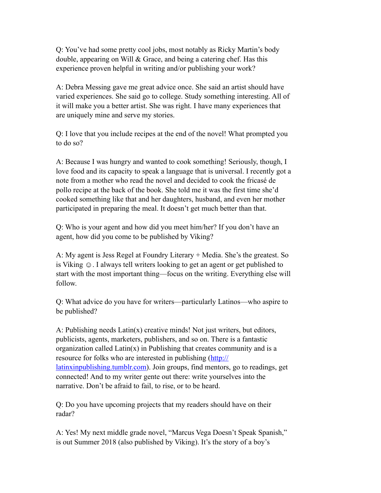Q: You've had some pretty cool jobs, most notably as Ricky Martin's body double, appearing on Will & Grace, and being a catering chef. Has this experience proven helpful in writing and/or publishing your work?

A: Debra Messing gave me great advice once. She said an artist should have varied experiences. She said go to college. Study something interesting. All of it will make you a better artist. She was right. I have many experiences that are uniquely mine and serve my stories.

Q: I love that you include recipes at the end of the novel! What prompted you to do so?

A: Because I was hungry and wanted to cook something! Seriously, though, I love food and its capacity to speak a language that is universal. I recently got a note from a mother who read the novel and decided to cook the fricasé de pollo recipe at the back of the book. She told me it was the first time she'd cooked something like that and her daughters, husband, and even her mother participated in preparing the meal. It doesn't get much better than that.

Q: Who is your agent and how did you meet him/her? If you don't have an agent, how did you come to be published by Viking?

A: My agent is Jess Regel at Foundry Literary + Media. She's the greatest. So is Viking  $\odot$ . I always tell writers looking to get an agent or get published to start with the most important thing—focus on the writing. Everything else will follow.

Q: What advice do you have for writers—particularly Latinos—who aspire to be published?

A: Publishing needs Latin(x) creative minds! Not just writers, but editors, publicists, agents, marketers, publishers, and so on. There is a fantastic organization called  $Latin(x)$  in Publishing that creates community and is a resource for folks who are interested in publishing ([http://](http://latinxinpublishing.tumblr.com) [latinxinpublishing.tumblr.com](http://latinxinpublishing.tumblr.com)). Join groups, find mentors, go to readings, get connected! And to my writer gente out there: write yourselves into the narrative. Don't be afraid to fail, to rise, or to be heard.

Q: Do you have upcoming projects that my readers should have on their radar?

A: Yes! My next middle grade novel, "Marcus Vega Doesn't Speak Spanish," is out Summer 2018 (also published by Viking). It's the story of a boy's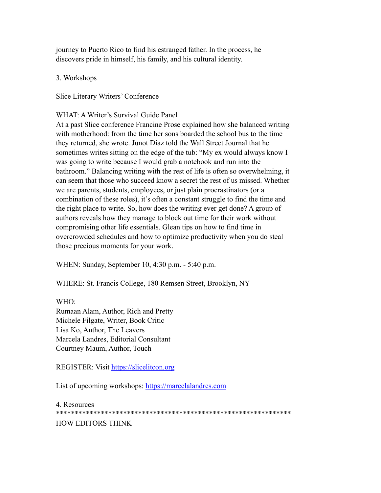journey to Puerto Rico to find his estranged father. In the process, he discovers pride in himself, his family, and his cultural identity.

3. Workshops

Slice Literary Writers' Conference

WHAT: A Writer's Survival Guide Panel

At a past Slice conference Francine Prose explained how she balanced writing with motherhood: from the time her sons boarded the school bus to the time they returned, she wrote. Junot Díaz told the Wall Street Journal that he sometimes writes sitting on the edge of the tub: "My ex would always know I was going to write because I would grab a notebook and run into the bathroom." Balancing writing with the rest of life is often so overwhelming, it can seem that those who succeed know a secret the rest of us missed. Whether we are parents, students, employees, or just plain procrastinators (or a combination of these roles), it's often a constant struggle to find the time and the right place to write. So, how does the writing ever get done? A group of authors reveals how they manage to block out time for their work without compromising other life essentials. Glean tips on how to find time in overcrowded schedules and how to optimize productivity when you do steal those precious moments for your work.

WHEN: Sunday, September 10, 4:30 p.m. - 5:40 p.m.

WHERE: St. Francis College, 180 Remsen Street, Brooklyn, NY

WHO:

Rumaan Alam, Author, Rich and Pretty Michele Filgate, Writer, Book Critic Lisa Ko, Author, The Leavers Marcela Landres, Editorial Consultant Courtney Maum, Author, Touch

REGISTER: Visit<https://slicelitcon.org>

List of upcoming workshops: <https://marcelalandres.com>

4. Resources \*\*\*\*\*\*\*\*\*\*\*\*\*\*\*\*\*\*\*\*\*\*\*\*\*\*\*\*\*\*\*\*\*\*\*\*\*\*\*\*\*\*\*\*\*\*\*\*\*\*\*\*\*\*\*\*\*\*\*\*\*\*\* HOW EDITORS THINK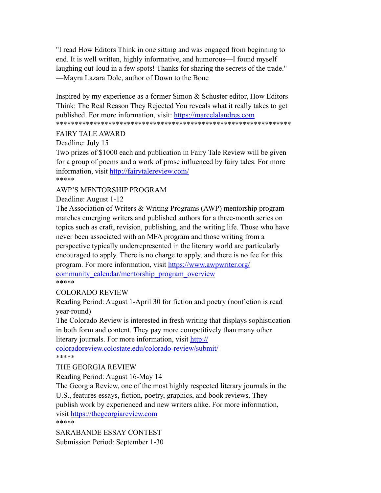"I read How Editors Think in one sitting and was engaged from beginning to end. It is well written, highly informative, and humorous—I found myself laughing out-loud in a few spots! Thanks for sharing the secrets of the trade." —Mayra Lazara Dole, author of Down to the Bone

Inspired by my experience as a former Simon & Schuster editor, How Editors Think: The Real Reason They Rejected You reveals what it really takes to get published. For more information, visit: <https://marcelalandres.com> \*\*\*\*\*\*\*\*\*\*\*\*\*\*\*\*\*\*\*\*\*\*\*\*\*\*\*\*\*\*\*\*\*\*\*\*\*\*\*\*\*\*\*\*\*\*\*\*\*\*\*\*\*\*\*\*\*\*\*\*\*\*\*

#### FAIRY TALE AWARD

Deadline: July 15

Two prizes of \$1000 each and publication in Fairy Tale Review will be given for a group of poems and a work of prose influenced by fairy tales. For more information, visit<http://fairytalereview.com/> \*\*\*\*\*

AWP'S MENTORSHIP PROGRAM

Deadline: August 1-12

The Association of Writers & Writing Programs (AWP) mentorship program matches emerging writers and published authors for a three-month series on topics such as craft, revision, publishing, and the writing life. Those who have never been associated with an MFA program and those writing from a perspective typically underrepresented in the literary world are particularly encouraged to apply. There is no charge to apply, and there is no fee for this program. For more information, visit [https://www.awpwriter.org/](https://www.awpwriter.org/community_calendar/mentorship_program_overview) [community\\_calendar/mentorship\\_program\\_overview](https://www.awpwriter.org/community_calendar/mentorship_program_overview) \*\*\*\*\*

#### COLORADO REVIEW

Reading Period: August 1-April 30 for fiction and poetry (nonfiction is read year-round)

The Colorado Review is interested in fresh writing that displays sophistication in both form and content. They pay more competitively than many other literary journals. For more information, visit [http://](http://coloradoreview.colostate.edu/colorado-review/submit/)

[coloradoreview.colostate.edu/colorado-review/submit/](http://coloradoreview.colostate.edu/colorado-review/submit/) \*\*\*\*\*

#### THE GEORGIA REVIEW

Reading Period: August 16-May 14

The Georgia Review, one of the most highly respected literary journals in the U.S., features essays, fiction, poetry, graphics, and book reviews. They publish work by experienced and new writers alike. For more information, visit <https://thegeorgiareview.com> \*\*\*\*\*

SARABANDE ESSAY CONTEST Submission Period: September 1-30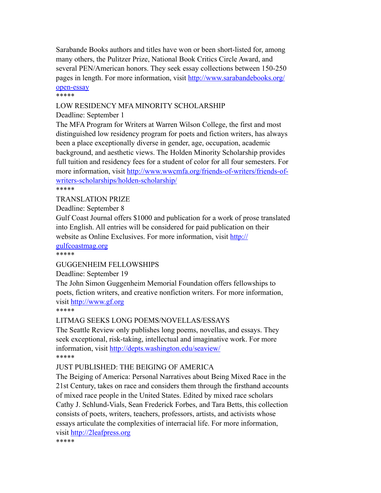Sarabande Books authors and titles have won or been short-listed for, among many others, the Pulitzer Prize, National Book Critics Circle Award, and several PEN/American honors. They seek essay collections between 150-250 pages in length. For more information, visit [http://www.sarabandebooks.org/](http://www.sarabandebooks.org/open-essay) [open-essay](http://www.sarabandebooks.org/open-essay)

\*\*\*\*\*

## LOW RESIDENCY MFA MINORITY SCHOLARSHIP

#### Deadline: September 1

The MFA Program for Writers at Warren Wilson College, the first and most distinguished low residency program for poets and fiction writers, has always been a place exceptionally diverse in gender, age, occupation, academic background, and aesthetic views. The Holden Minority Scholarship provides full tuition and residency fees for a student of color for all four semesters. For more information, visit [http://www.wwcmfa.org/friends-of-writers/friends-of](http://www.wwcmfa.org/friends-of-writers/friends-of-writers-scholarships/holden-scholarship/)[writers-scholarships/holden-scholarship/](http://www.wwcmfa.org/friends-of-writers/friends-of-writers-scholarships/holden-scholarship/)

\*\*\*\*\*

#### TRANSLATION PRIZE

Deadline: September 8

Gulf Coast Journal offers \$1000 and publication for a work of prose translated into English. All entries will be considered for paid publication on their website as Online Exclusives. For more information, visit [http://](http://gulfcoastmag.org)

[gulfcoastmag.org](http://gulfcoastmag.org)

\*\*\*\*\*

#### GUGGENHEIM FELLOWSHIPS

Deadline: September 19

The John Simon Guggenheim Memorial Foundation offers fellowships to poets, fiction writers, and creative nonfiction writers. For more information, visit <http://www.gf.org>

\*\*\*\*\*

#### LITMAG SEEKS LONG POEMS/NOVELLAS/ESSAYS

The Seattle Review only publishes long poems, novellas, and essays. They seek exceptional, risk-taking, intellectual and imaginative work. For more information, visit<http://depts.washington.edu/seaview/> \*\*\*\*\*

#### JUST PUBLISHED: THE BEIGING OF AMERICA

The Beiging of America: Personal Narratives about Being Mixed Race in the 21st Century, takes on race and considers them through the firsthand accounts of mixed race people in the United States. Edited by mixed race scholars Cathy J. Schlund-Vials, Sean Frederick Forbes, and Tara Betts, this collection consists of poets, writers, teachers, professors, artists, and activists whose essays articulate the complexities of interracial life. For more information, visit <http://2leafpress.org> \*\*\*\*\*